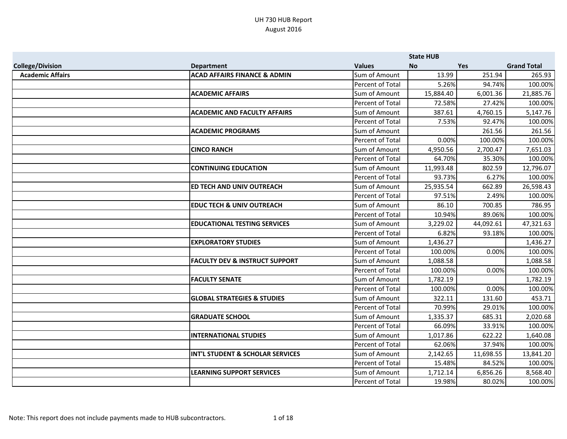|                         |                                           |                         | <b>State HUB</b> |            |                    |
|-------------------------|-------------------------------------------|-------------------------|------------------|------------|--------------------|
| <b>College/Division</b> | <b>Department</b>                         | <b>Values</b>           | <b>No</b>        | <b>Yes</b> | <b>Grand Total</b> |
| <b>Academic Affairs</b> | <b>ACAD AFFAIRS FINANCE &amp; ADMIN</b>   | Sum of Amount           | 13.99            | 251.94     | 265.93             |
|                         |                                           | Percent of Total        | 5.26%            | 94.74%     | 100.00%            |
|                         | <b>ACADEMIC AFFAIRS</b>                   | Sum of Amount           | 15,884.40        | 6,001.36   | 21,885.76          |
|                         |                                           | Percent of Total        | 72.58%           | 27.42%     | 100.00%            |
|                         | <b>ACADEMIC AND FACULTY AFFAIRS</b>       | Sum of Amount           | 387.61           | 4,760.15   | 5,147.76           |
|                         |                                           | Percent of Total        | 7.53%            | 92.47%     | 100.00%            |
|                         | <b>ACADEMIC PROGRAMS</b>                  | Sum of Amount           |                  | 261.56     | 261.56             |
|                         |                                           | <b>Percent of Total</b> | 0.00%            | 100.00%    | 100.00%            |
|                         | <b>CINCO RANCH</b>                        | Sum of Amount           | 4,950.56         | 2,700.47   | 7,651.03           |
|                         |                                           | Percent of Total        | 64.70%           | 35.30%     | 100.00%            |
|                         | <b>CONTINUING EDUCATION</b>               | Sum of Amount           | 11,993.48        | 802.59     | 12,796.07          |
|                         |                                           | <b>Percent of Total</b> | 93.73%           | 6.27%      | 100.00%            |
|                         | ED TECH AND UNIV OUTREACH                 | Sum of Amount           | 25,935.54        | 662.89     | 26,598.43          |
|                         |                                           | Percent of Total        | 97.51%           | 2.49%      | 100.00%            |
|                         | <b>EDUC TECH &amp; UNIV OUTREACH</b>      | Sum of Amount           | 86.10            | 700.85     | 786.95             |
|                         |                                           | Percent of Total        | 10.94%           | 89.06%     | 100.00%            |
|                         | <b>EDUCATIONAL TESTING SERVICES</b>       | Sum of Amount           | 3,229.02         | 44,092.61  | 47,321.63          |
|                         |                                           | Percent of Total        | 6.82%            | 93.18%     | 100.00%            |
|                         | <b>EXPLORATORY STUDIES</b>                | Sum of Amount           | 1,436.27         |            | 1,436.27           |
|                         |                                           | Percent of Total        | 100.00%          | 0.00%      | 100.00%            |
|                         | <b>FACULTY DEV &amp; INSTRUCT SUPPORT</b> | Sum of Amount           | 1,088.58         |            | 1,088.58           |
|                         |                                           | Percent of Total        | 100.00%          | 0.00%      | 100.00%            |
|                         | <b>FACULTY SENATE</b>                     | Sum of Amount           | 1,782.19         |            | 1,782.19           |
|                         |                                           | Percent of Total        | 100.00%          | 0.00%      | 100.00%            |
|                         | <b>GLOBAL STRATEGIES &amp; STUDIES</b>    | Sum of Amount           | 322.11           | 131.60     | 453.71             |
|                         |                                           | Percent of Total        | 70.99%           | 29.01%     | 100.00%            |
|                         | <b>GRADUATE SCHOOL</b>                    | Sum of Amount           | 1,335.37         | 685.31     | 2,020.68           |
|                         |                                           | Percent of Total        | 66.09%           | 33.91%     | 100.00%            |
|                         | <b>INTERNATIONAL STUDIES</b>              | Sum of Amount           | 1,017.86         | 622.22     | 1,640.08           |
|                         |                                           | Percent of Total        | 62.06%           | 37.94%     | 100.00%            |
|                         | INT'L STUDENT & SCHOLAR SERVICES          | Sum of Amount           | 2,142.65         | 11,698.55  | 13,841.20          |
|                         |                                           | Percent of Total        | 15.48%           | 84.52%     | 100.00%            |
|                         | <b>LEARNING SUPPORT SERVICES</b>          | Sum of Amount           | 1,712.14         | 6,856.26   | 8,568.40           |
|                         |                                           | Percent of Total        | 19.98%           | 80.02%     | 100.00%            |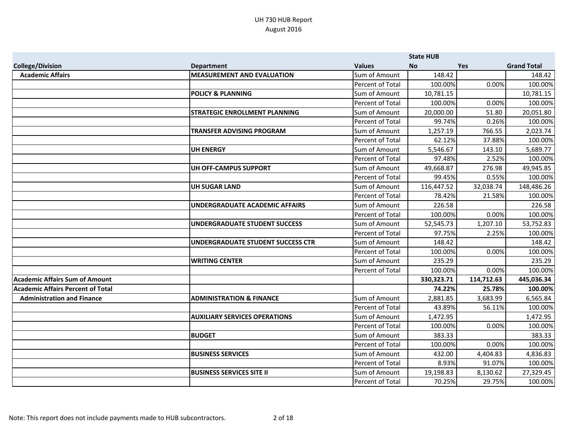|                                          |                                      |                         | <b>State HUB</b> |            |                    |
|------------------------------------------|--------------------------------------|-------------------------|------------------|------------|--------------------|
| <b>College/Division</b>                  | <b>Department</b>                    | <b>Values</b>           | No               | Yes        | <b>Grand Total</b> |
| <b>Academic Affairs</b>                  | <b>MEASUREMENT AND EVALUATION</b>    | Sum of Amount           | 148.42           |            | 148.42             |
|                                          |                                      | Percent of Total        | 100.00%          | 0.00%      | 100.00%            |
|                                          | <b>POLICY &amp; PLANNING</b>         | Sum of Amount           | 10,781.15        |            | 10,781.15          |
|                                          |                                      | <b>Percent of Total</b> | 100.00%          | 0.00%      | 100.00%            |
|                                          | <b>STRATEGIC ENROLLMENT PLANNING</b> | Sum of Amount           | 20,000.00        | 51.80      | 20,051.80          |
|                                          |                                      | Percent of Total        | 99.74%           | 0.26%      | 100.00%            |
|                                          | <b>TRANSFER ADVISING PROGRAM</b>     | Sum of Amount           | 1,257.19         | 766.55     | 2,023.74           |
|                                          |                                      | <b>Percent of Total</b> | 62.12%           | 37.88%     | 100.00%            |
|                                          | <b>UH ENERGY</b>                     | Sum of Amount           | 5,546.67         | 143.10     | 5,689.77           |
|                                          |                                      | Percent of Total        | 97.48%           | 2.52%      | 100.00%            |
|                                          | UH OFF-CAMPUS SUPPORT                | Sum of Amount           | 49,668.87        | 276.98     | 49,945.85          |
|                                          |                                      | Percent of Total        | 99.45%           | 0.55%      | 100.00%            |
|                                          | <b>UH SUGAR LAND</b>                 | Sum of Amount           | 116,447.52       | 32,038.74  | 148,486.26         |
|                                          |                                      | Percent of Total        | 78.42%           | 21.58%     | 100.00%            |
|                                          | UNDERGRADUATE ACADEMIC AFFAIRS       | Sum of Amount           | 226.58           |            | 226.58             |
|                                          |                                      | <b>Percent of Total</b> | 100.00%          | 0.00%      | 100.00%            |
|                                          | <b>UNDERGRADUATE STUDENT SUCCESS</b> | Sum of Amount           | 52,545.73        | 1,207.10   | 53,752.83          |
|                                          |                                      | Percent of Total        | 97.75%           | 2.25%      | 100.00%            |
|                                          | UNDERGRADUATE STUDENT SUCCESS CTR    | Sum of Amount           | 148.42           |            | 148.42             |
|                                          |                                      | Percent of Total        | 100.00%          | 0.00%      | 100.00%            |
|                                          | <b>WRITING CENTER</b>                | Sum of Amount           | 235.29           |            | 235.29             |
|                                          |                                      | Percent of Total        | 100.00%          | 0.00%      | 100.00%            |
| <b>Academic Affairs Sum of Amount</b>    |                                      |                         | 330, 323. 71     | 114,712.63 | 445,036.34         |
| <b>Academic Affairs Percent of Total</b> |                                      |                         | 74.22%           | 25.78%     | 100.00%            |
| <b>Administration and Finance</b>        | <b>ADMINISTRATION &amp; FINANCE</b>  | Sum of Amount           | 2,881.85         | 3,683.99   | 6,565.84           |
|                                          |                                      | Percent of Total        | 43.89%           | 56.11%     | 100.00%            |
|                                          | <b>AUXILIARY SERVICES OPERATIONS</b> | Sum of Amount           | 1,472.95         |            | 1,472.95           |
|                                          |                                      | Percent of Total        | 100.00%          | 0.00%      | 100.00%            |
|                                          | <b>BUDGET</b>                        | Sum of Amount           | 383.33           |            | 383.33             |
|                                          |                                      | Percent of Total        | 100.00%          | 0.00%      | 100.00%            |
|                                          | <b>BUSINESS SERVICES</b>             | Sum of Amount           | 432.00           | 4,404.83   | 4,836.83           |
|                                          |                                      | Percent of Total        | 8.93%            | 91.07%     | 100.00%            |
|                                          | <b>BUSINESS SERVICES SITE II</b>     | Sum of Amount           | 19,198.83        | 8,130.62   | 27,329.45          |
|                                          |                                      | Percent of Total        | 70.25%           | 29.75%     | 100.00%            |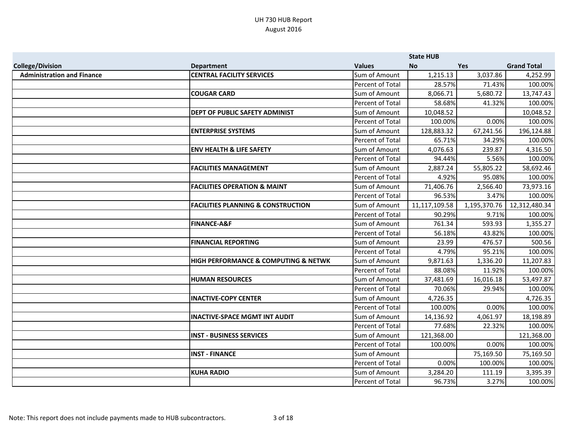|                                   |                                                     |                         | <b>State HUB</b> |              |                    |
|-----------------------------------|-----------------------------------------------------|-------------------------|------------------|--------------|--------------------|
| <b>College/Division</b>           | <b>Department</b>                                   | <b>Values</b>           | <b>No</b>        | <b>Yes</b>   | <b>Grand Total</b> |
| <b>Administration and Finance</b> | <b>CENTRAL FACILITY SERVICES</b>                    | Sum of Amount           | 1,215.13         | 3,037.86     | 4,252.99           |
|                                   |                                                     | Percent of Total        | 28.57%           | 71.43%       | 100.00%            |
|                                   | <b>COUGAR CARD</b>                                  | Sum of Amount           | 8,066.71         | 5,680.72     | 13,747.43          |
|                                   |                                                     | Percent of Total        | 58.68%           | 41.32%       | 100.00%            |
|                                   | DEPT OF PUBLIC SAFETY ADMINIST                      | Sum of Amount           | 10,048.52        |              | 10,048.52          |
|                                   |                                                     | <b>Percent of Total</b> | 100.00%          | 0.00%        | 100.00%            |
|                                   | <b>ENTERPRISE SYSTEMS</b>                           | Sum of Amount           | 128,883.32       | 67,241.56    | 196,124.88         |
|                                   |                                                     | Percent of Total        | 65.71%           | 34.29%       | 100.00%            |
|                                   | <b>ENV HEALTH &amp; LIFE SAFETY</b>                 | Sum of Amount           | 4,076.63         | 239.87       | 4,316.50           |
|                                   |                                                     | Percent of Total        | 94.44%           | 5.56%        | 100.00%            |
|                                   | <b>FACILITIES MANAGEMENT</b>                        | Sum of Amount           | 2,887.24         | 55,805.22    | 58,692.46          |
|                                   |                                                     | <b>Percent of Total</b> | 4.92%            | 95.08%       | 100.00%            |
|                                   | <b>FACILITIES OPERATION &amp; MAINT</b>             | Sum of Amount           | 71,406.76        | 2,566.40     | 73,973.16          |
|                                   |                                                     | Percent of Total        | 96.53%           | 3.47%        | 100.00%            |
|                                   | <b>FACILITIES PLANNING &amp; CONSTRUCTION</b>       | Sum of Amount           | 11,117,109.58    | 1,195,370.76 | 12,312,480.34      |
|                                   |                                                     | Percent of Total        | 90.29%           | 9.71%        | 100.00%            |
|                                   | <b>FINANCE-A&amp;F</b>                              | Sum of Amount           | 761.34           | 593.93       | 1,355.27           |
|                                   |                                                     | Percent of Total        | 56.18%           | 43.82%       | 100.00%            |
|                                   | <b>FINANCIAL REPORTING</b>                          | Sum of Amount           | 23.99            | 476.57       | 500.56             |
|                                   |                                                     | Percent of Total        | 4.79%            | 95.21%       | 100.00%            |
|                                   | <b>HIGH PERFORMANCE &amp; COMPUTING &amp; NETWK</b> | Sum of Amount           | 9,871.63         | 1,336.20     | 11,207.83          |
|                                   |                                                     | Percent of Total        | 88.08%           | 11.92%       | 100.00%            |
|                                   | <b>HUMAN RESOURCES</b>                              | Sum of Amount           | 37,481.69        | 16,016.18    | 53,497.87          |
|                                   |                                                     | Percent of Total        | 70.06%           | 29.94%       | 100.00%            |
|                                   | <b>INACTIVE-COPY CENTER</b>                         | Sum of Amount           | 4,726.35         |              | 4,726.35           |
|                                   |                                                     | Percent of Total        | 100.00%          | 0.00%        | 100.00%            |
|                                   | <b>INACTIVE-SPACE MGMT INT AUDIT</b>                | Sum of Amount           | 14,136.92        | 4,061.97     | 18,198.89          |
|                                   |                                                     | Percent of Total        | 77.68%           | 22.32%       | 100.00%            |
|                                   | <b>INST - BUSINESS SERVICES</b>                     | Sum of Amount           | 121,368.00       |              | 121,368.00         |
|                                   |                                                     | Percent of Total        | 100.00%          | 0.00%        | 100.00%            |
|                                   | <b>INST - FINANCE</b>                               | Sum of Amount           |                  | 75,169.50    | 75,169.50          |
|                                   |                                                     | Percent of Total        | 0.00%            | 100.00%      | 100.00%            |
|                                   | <b>KUHA RADIO</b>                                   | Sum of Amount           | 3,284.20         | 111.19       | 3,395.39           |
|                                   |                                                     | Percent of Total        | 96.73%           | 3.27%        | 100.00%            |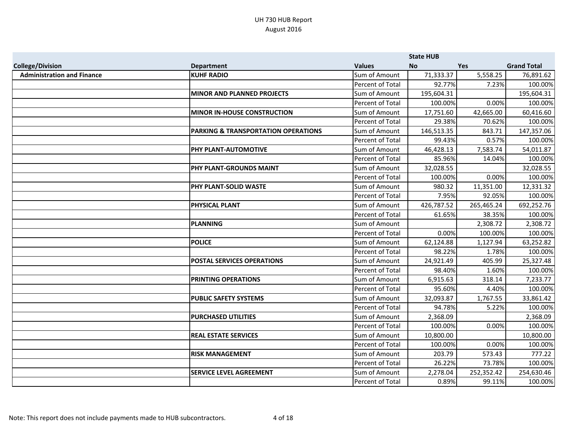|                                   |                                                |                         | <b>State HUB</b> |            |                    |
|-----------------------------------|------------------------------------------------|-------------------------|------------------|------------|--------------------|
| <b>College/Division</b>           | <b>Department</b>                              | <b>Values</b>           | <b>No</b>        | <b>Yes</b> | <b>Grand Total</b> |
| <b>Administration and Finance</b> | <b>KUHF RADIO</b>                              | Sum of Amount           | 71,333.37        | 5,558.25   | 76,891.62          |
|                                   |                                                | Percent of Total        | 92.77%           | 7.23%      | 100.00%            |
|                                   | <b>MINOR AND PLANNED PROJECTS</b>              | Sum of Amount           | 195,604.31       |            | 195,604.31         |
|                                   |                                                | Percent of Total        | 100.00%          | 0.00%      | 100.00%            |
|                                   | <b>MINOR IN-HOUSE CONSTRUCTION</b>             | Sum of Amount           | 17,751.60        | 42,665.00  | 60,416.60          |
|                                   |                                                | Percent of Total        | 29.38%           | 70.62%     | 100.00%            |
|                                   | <b>PARKING &amp; TRANSPORTATION OPERATIONS</b> | Sum of Amount           | 146,513.35       | 843.71     | 147,357.06         |
|                                   |                                                | <b>Percent of Total</b> | 99.43%           | 0.57%      | 100.00%            |
|                                   | PHY PLANT-AUTOMOTIVE                           | Sum of Amount           | 46,428.13        | 7,583.74   | 54,011.87          |
|                                   |                                                | Percent of Total        | 85.96%           | 14.04%     | 100.00%            |
|                                   | <b>PHY PLANT-GROUNDS MAINT</b>                 | Sum of Amount           | 32,028.55        |            | 32,028.55          |
|                                   |                                                | <b>Percent of Total</b> | 100.00%          | 0.00%      | 100.00%            |
|                                   | PHY PLANT-SOLID WASTE                          | Sum of Amount           | 980.32           | 11,351.00  | 12,331.32          |
|                                   |                                                | Percent of Total        | 7.95%            | 92.05%     | 100.00%            |
|                                   | PHYSICAL PLANT                                 | Sum of Amount           | 426,787.52       | 265,465.24 | 692,252.76         |
|                                   |                                                | Percent of Total        | 61.65%           | 38.35%     | 100.00%            |
|                                   | <b>PLANNING</b>                                | Sum of Amount           |                  | 2,308.72   | 2,308.72           |
|                                   |                                                | Percent of Total        | 0.00%            | 100.00%    | 100.00%            |
|                                   | <b>POLICE</b>                                  | Sum of Amount           | 62,124.88        | 1,127.94   | 63,252.82          |
|                                   |                                                | Percent of Total        | 98.22%           | 1.78%      | 100.00%            |
|                                   | <b>POSTAL SERVICES OPERATIONS</b>              | Sum of Amount           | 24,921.49        | 405.99     | 25,327.48          |
|                                   |                                                | <b>Percent of Total</b> | 98.40%           | 1.60%      | 100.00%            |
|                                   | <b>PRINTING OPERATIONS</b>                     | Sum of Amount           | 6,915.63         | 318.14     | 7,233.77           |
|                                   |                                                | Percent of Total        | 95.60%           | 4.40%      | 100.00%            |
|                                   | <b>PUBLIC SAFETY SYSTEMS</b>                   | Sum of Amount           | 32,093.87        | 1,767.55   | 33,861.42          |
|                                   |                                                | Percent of Total        | 94.78%           | 5.22%      | 100.00%            |
|                                   | <b>PURCHASED UTILITIES</b>                     | Sum of Amount           | 2,368.09         |            | 2,368.09           |
|                                   |                                                | Percent of Total        | 100.00%          | 0.00%      | 100.00%            |
|                                   | <b>REAL ESTATE SERVICES</b>                    | Sum of Amount           | 10,800.00        |            | 10,800.00          |
|                                   |                                                | <b>Percent of Total</b> | 100.00%          | 0.00%      | 100.00%            |
|                                   | <b>RISK MANAGEMENT</b>                         | Sum of Amount           | 203.79           | 573.43     | 777.22             |
|                                   |                                                | Percent of Total        | 26.22%           | 73.78%     | 100.00%            |
|                                   | <b>SERVICE LEVEL AGREEMENT</b>                 | Sum of Amount           | 2,278.04         | 252,352.42 | 254,630.46         |
|                                   |                                                | Percent of Total        | 0.89%            | 99.11%     | 100.00%            |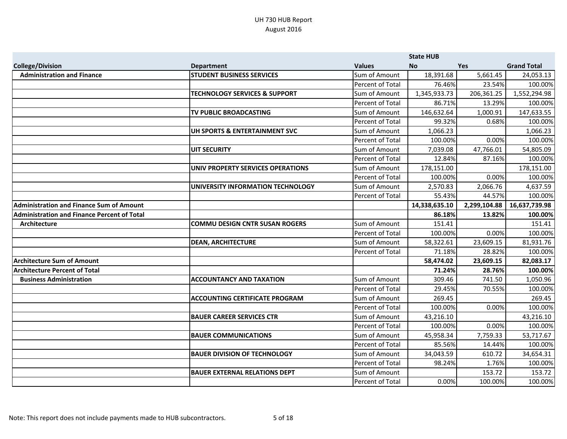|                                                    |                                          |                         | <b>State HUB</b> |              |                    |
|----------------------------------------------------|------------------------------------------|-------------------------|------------------|--------------|--------------------|
| <b>College/Division</b>                            | <b>Department</b>                        | <b>Values</b>           | <b>No</b>        | <b>Yes</b>   | <b>Grand Total</b> |
| <b>Administration and Finance</b>                  | <b>STUDENT BUSINESS SERVICES</b>         | Sum of Amount           | 18,391.68        | 5,661.45     | 24,053.13          |
|                                                    |                                          | Percent of Total        | 76.46%           | 23.54%       | 100.00%            |
|                                                    | <b>TECHNOLOGY SERVICES &amp; SUPPORT</b> | Sum of Amount           | 1,345,933.73     | 206,361.25   | 1,552,294.98       |
|                                                    |                                          | Percent of Total        | 86.71%           | 13.29%       | 100.00%            |
|                                                    | TV PUBLIC BROADCASTING                   | Sum of Amount           | 146,632.64       | 1,000.91     | 147,633.55         |
|                                                    |                                          | Percent of Total        | 99.32%           | 0.68%        | 100.00%            |
|                                                    | UH SPORTS & ENTERTAINMENT SVC            | Sum of Amount           | 1,066.23         |              | 1,066.23           |
|                                                    |                                          | <b>Percent of Total</b> | 100.00%          | 0.00%        | 100.00%            |
|                                                    | <b>UIT SECURITY</b>                      | Sum of Amount           | 7,039.08         | 47,766.01    | 54,805.09          |
|                                                    |                                          | Percent of Total        | 12.84%           | 87.16%       | 100.00%            |
|                                                    | UNIV PROPERTY SERVICES OPERATIONS        | Sum of Amount           | 178,151.00       |              | 178,151.00         |
|                                                    |                                          | Percent of Total        | 100.00%          | 0.00%        | 100.00%            |
|                                                    | UNIVERSITY INFORMATION TECHNOLOGY        | Sum of Amount           | 2,570.83         | 2,066.76     | 4,637.59           |
|                                                    |                                          | Percent of Total        | 55.43%           | 44.57%       | 100.00%            |
| <b>Administration and Finance Sum of Amount</b>    |                                          |                         | 14,338,635.10    | 2,299,104.88 | 16,637,739.98      |
| <b>Administration and Finance Percent of Total</b> |                                          |                         | 86.18%           | 13.82%       | 100.00%            |
| Architecture                                       | <b>COMMU DESIGN CNTR SUSAN ROGERS</b>    | Sum of Amount           | 151.41           |              | 151.41             |
|                                                    |                                          | Percent of Total        | 100.00%          | 0.00%        | 100.00%            |
|                                                    | <b>DEAN, ARCHITECTURE</b>                | Sum of Amount           | 58,322.61        | 23,609.15    | 81,931.76          |
|                                                    |                                          | Percent of Total        | 71.18%           | 28.82%       | 100.00%            |
| <b>Architecture Sum of Amount</b>                  |                                          |                         | 58,474.02        | 23,609.15    | 82,083.17          |
| <b>Architecture Percent of Total</b>               |                                          |                         | 71.24%           | 28.76%       | 100.00%            |
| <b>Business Administration</b>                     | <b>ACCOUNTANCY AND TAXATION</b>          | Sum of Amount           | 309.46           | 741.50       | 1,050.96           |
|                                                    |                                          | Percent of Total        | 29.45%           | 70.55%       | 100.00%            |
|                                                    | <b>ACCOUNTING CERTIFICATE PROGRAM</b>    | Sum of Amount           | 269.45           |              | 269.45             |
|                                                    |                                          | Percent of Total        | 100.00%          | 0.00%        | 100.00%            |
|                                                    | <b>BAUER CAREER SERVICES CTR</b>         | Sum of Amount           | 43,216.10        |              | 43,216.10          |
|                                                    |                                          | Percent of Total        | 100.00%          | 0.00%        | 100.00%            |
|                                                    | <b>BAUER COMMUNICATIONS</b>              | Sum of Amount           | 45,958.34        | 7,759.33     | 53,717.67          |
|                                                    |                                          | Percent of Total        | 85.56%           | 14.44%       | 100.00%            |
|                                                    | <b>BAUER DIVISION OF TECHNOLOGY</b>      | Sum of Amount           | 34,043.59        | 610.72       | 34,654.31          |
|                                                    |                                          | Percent of Total        | 98.24%           | 1.76%        | 100.00%            |
|                                                    | <b>BAUER EXTERNAL RELATIONS DEPT</b>     | Sum of Amount           |                  | 153.72       | 153.72             |
|                                                    |                                          | Percent of Total        | 0.00%            | 100.00%      | 100.00%            |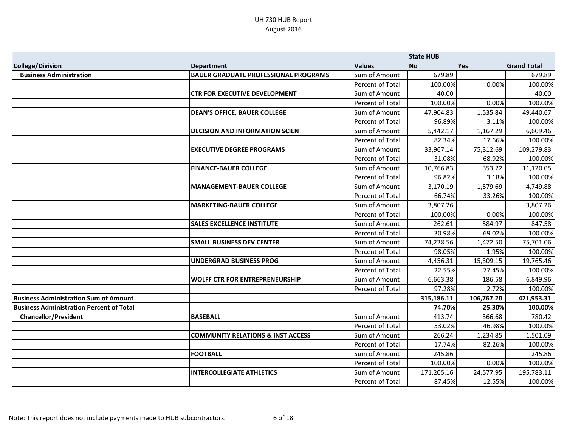|                                                 |                                              |                         | <b>State HUB</b> |            |                    |
|-------------------------------------------------|----------------------------------------------|-------------------------|------------------|------------|--------------------|
| <b>College/Division</b>                         | <b>Department</b>                            | <b>Values</b>           | <b>No</b>        | Yes        | <b>Grand Total</b> |
| <b>Business Administration</b>                  | <b>BAUER GRADUATE PROFESSIONAL PROGRAMS</b>  | Sum of Amount           | 679.89           |            | 679.89             |
|                                                 |                                              | Percent of Total        | 100.00%          | 0.00%      | 100.00%            |
|                                                 | <b>CTR FOR EXECUTIVE DEVELOPMENT</b>         | Sum of Amount           | 40.00            |            | 40.00              |
|                                                 |                                              | Percent of Total        | 100.00%          | 0.00%      | 100.00%            |
|                                                 | <b>DEAN'S OFFICE, BAUER COLLEGE</b>          | Sum of Amount           | 47,904.83        | 1,535.84   | 49,440.67          |
|                                                 |                                              | Percent of Total        | 96.89%           | 3.11%      | 100.00%            |
|                                                 | <b>DECISION AND INFORMATION SCIEN</b>        | Sum of Amount           | 5,442.17         | 1,167.29   | 6,609.46           |
|                                                 |                                              | <b>Percent of Total</b> | 82.34%           | 17.66%     | 100.00%            |
|                                                 | <b>EXECUTIVE DEGREE PROGRAMS</b>             | Sum of Amount           | 33,967.14        | 75,312.69  | 109,279.83         |
|                                                 |                                              | Percent of Total        | 31.08%           | 68.92%     | 100.00%            |
|                                                 | <b>FINANCE-BAUER COLLEGE</b>                 | Sum of Amount           | 10,766.83        | 353.22     | 11,120.05          |
|                                                 |                                              | <b>Percent of Total</b> | 96.82%           | 3.18%      | 100.00%            |
|                                                 | <b>MANAGEMENT-BAUER COLLEGE</b>              | Sum of Amount           | 3,170.19         | 1,579.69   | 4,749.88           |
|                                                 |                                              | Percent of Total        | 66.74%           | 33.26%     | 100.00%            |
|                                                 | <b>MARKETING-BAUER COLLEGE</b>               | Sum of Amount           | 3,807.26         |            | 3,807.26           |
|                                                 |                                              | <b>Percent of Total</b> | 100.00%          | 0.00%      | 100.00%            |
|                                                 | <b>SALES EXCELLENCE INSTITUTE</b>            | Sum of Amount           | 262.61           | 584.97     | 847.58             |
|                                                 |                                              | Percent of Total        | 30.98%           | 69.02%     | 100.00%            |
|                                                 | <b>SMALL BUSINESS DEV CENTER</b>             | Sum of Amount           | 74,228.56        | 1,472.50   | 75,701.06          |
|                                                 |                                              | Percent of Total        | 98.05%           | 1.95%      | 100.00%            |
|                                                 | <b>UNDERGRAD BUSINESS PROG</b>               | Sum of Amount           | 4,456.31         | 15,309.15  | 19,765.46          |
|                                                 |                                              | Percent of Total        | 22.55%           | 77.45%     | 100.00%            |
|                                                 | <b>WOLFF CTR FOR ENTREPRENEURSHIP</b>        | Sum of Amount           | 6,663.38         | 186.58     | 6,849.96           |
|                                                 |                                              | Percent of Total        | 97.28%           | 2.72%      | 100.00%            |
| <b>Business Administration Sum of Amount</b>    |                                              |                         | 315,186.11       | 106,767.20 | 421,953.31         |
| <b>Business Administration Percent of Total</b> |                                              |                         | 74.70%           | 25.30%     | 100.00%            |
| <b>Chancellor/President</b>                     | <b>BASEBALL</b>                              | Sum of Amount           | 413.74           | 366.68     | 780.42             |
|                                                 |                                              | Percent of Total        | 53.02%           | 46.98%     | 100.00%            |
|                                                 | <b>COMMUNITY RELATIONS &amp; INST ACCESS</b> | Sum of Amount           | 266.24           | 1,234.85   | 1,501.09           |
|                                                 |                                              | Percent of Total        | 17.74%           | 82.26%     | 100.00%            |
|                                                 | <b>FOOTBALL</b>                              | Sum of Amount           | 245.86           |            | 245.86             |
|                                                 |                                              | Percent of Total        | 100.00%          | 0.00%      | 100.00%            |
|                                                 | <b>INTERCOLLEGIATE ATHLETICS</b>             | Sum of Amount           | 171,205.16       | 24,577.95  | 195,783.11         |
|                                                 |                                              | Percent of Total        | 87.45%           | 12.55%     | 100.00%            |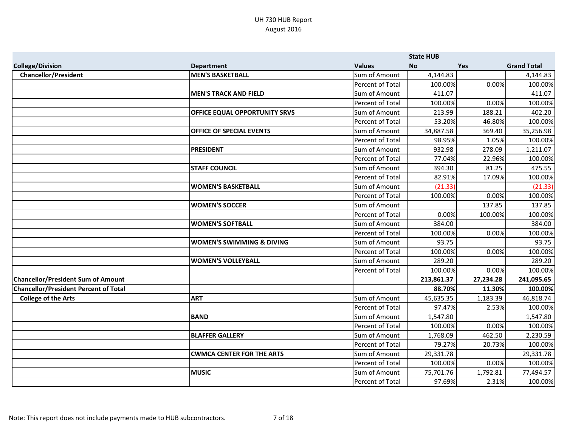|                                              |                                      |                         | <b>State HUB</b> |            |                    |
|----------------------------------------------|--------------------------------------|-------------------------|------------------|------------|--------------------|
| <b>College/Division</b>                      | <b>Department</b>                    | <b>Values</b>           | <b>No</b>        | <b>Yes</b> | <b>Grand Total</b> |
| <b>Chancellor/President</b>                  | <b>MEN'S BASKETBALL</b>              | Sum of Amount           | 4,144.83         |            | 4,144.83           |
|                                              |                                      | Percent of Total        | 100.00%          | 0.00%      | 100.00%            |
|                                              | <b>MEN'S TRACK AND FIELD</b>         | Sum of Amount           | 411.07           |            | 411.07             |
|                                              |                                      | Percent of Total        | 100.00%          | 0.00%      | 100.00%            |
|                                              | <b>OFFICE EQUAL OPPORTUNITY SRVS</b> | Sum of Amount           | 213.99           | 188.21     | 402.20             |
|                                              |                                      | <b>Percent of Total</b> | 53.20%           | 46.80%     | 100.00%            |
|                                              | OFFICE OF SPECIAL EVENTS             | Sum of Amount           | 34,887.58        | 369.40     | 35,256.98          |
|                                              |                                      | <b>Percent of Total</b> | 98.95%           | 1.05%      | 100.00%            |
|                                              | <b>PRESIDENT</b>                     | Sum of Amount           | 932.98           | 278.09     | 1,211.07           |
|                                              |                                      | Percent of Total        | 77.04%           | 22.96%     | 100.00%            |
|                                              | <b>STAFF COUNCIL</b>                 | Sum of Amount           | 394.30           | 81.25      | 475.55             |
|                                              |                                      | Percent of Total        | 82.91%           | 17.09%     | 100.00%            |
|                                              | <b>WOMEN'S BASKETBALL</b>            | Sum of Amount           | (21.33)          |            | (21.33)            |
|                                              |                                      | Percent of Total        | 100.00%          | 0.00%      | 100.00%            |
|                                              | <b>WOMEN'S SOCCER</b>                | Sum of Amount           |                  | 137.85     | 137.85             |
|                                              |                                      | <b>Percent of Total</b> | 0.00%            | 100.00%    | 100.00%            |
|                                              | <b>WOMEN'S SOFTBALL</b>              | Sum of Amount           | 384.00           |            | 384.00             |
|                                              |                                      | <b>Percent of Total</b> | 100.00%          | 0.00%      | 100.00%            |
|                                              | <b>WOMEN'S SWIMMING &amp; DIVING</b> | Sum of Amount           | 93.75            |            | 93.75              |
|                                              |                                      | Percent of Total        | 100.00%          | 0.00%      | 100.00%            |
|                                              | <b>WOMEN'S VOLLEYBALL</b>            | Sum of Amount           | 289.20           |            | 289.20             |
|                                              |                                      | Percent of Total        | 100.00%          | 0.00%      | 100.00%            |
| <b>Chancellor/President Sum of Amount</b>    |                                      |                         | 213,861.37       | 27,234.28  | 241,095.65         |
| <b>Chancellor/President Percent of Total</b> |                                      |                         | 88.70%           | 11.30%     | 100.00%            |
| <b>College of the Arts</b>                   | <b>ART</b>                           | Sum of Amount           | 45,635.35        | 1,183.39   | 46,818.74          |
|                                              |                                      | Percent of Total        | 97.47%           | 2.53%      | 100.00%            |
|                                              | <b>BAND</b>                          | Sum of Amount           | 1,547.80         |            | 1,547.80           |
|                                              |                                      | <b>Percent of Total</b> | 100.00%          | 0.00%      | 100.00%            |
|                                              | <b>BLAFFER GALLERY</b>               | Sum of Amount           | 1,768.09         | 462.50     | 2,230.59           |
|                                              |                                      | <b>Percent of Total</b> | 79.27%           | 20.73%     | 100.00%            |
|                                              | <b>CWMCA CENTER FOR THE ARTS</b>     | Sum of Amount           | 29,331.78        |            | 29,331.78          |
|                                              |                                      | Percent of Total        | 100.00%          | 0.00%      | 100.00%            |
|                                              | <b>MUSIC</b>                         | Sum of Amount           | 75,701.76        | 1,792.81   | 77,494.57          |
|                                              |                                      | Percent of Total        | 97.69%           | 2.31%      | 100.00%            |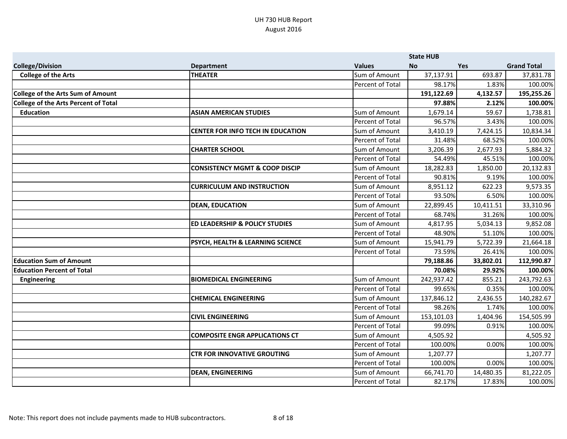|                                             |                                           |                  | <b>State HUB</b> |            |                    |
|---------------------------------------------|-------------------------------------------|------------------|------------------|------------|--------------------|
| <b>College/Division</b>                     | <b>Department</b>                         | <b>Values</b>    | <b>No</b>        | <b>Yes</b> | <b>Grand Total</b> |
| <b>College of the Arts</b>                  | <b>THEATER</b>                            | Sum of Amount    | 37,137.91        | 693.87     | 37,831.78          |
|                                             |                                           | Percent of Total | 98.17%           | 1.83%      | 100.00%            |
| College of the Arts Sum of Amount           |                                           |                  | 191,122.69       | 4,132.57   | 195,255.26         |
| <b>College of the Arts Percent of Total</b> |                                           |                  | 97.88%           | 2.12%      | 100.00%            |
| <b>Education</b>                            | <b>ASIAN AMERICAN STUDIES</b>             | Sum of Amount    | 1,679.14         | 59.67      | 1,738.81           |
|                                             |                                           | Percent of Total | 96.57%           | 3.43%      | 100.00%            |
|                                             | <b>CENTER FOR INFO TECH IN EDUCATION</b>  | Sum of Amount    | 3,410.19         | 7,424.15   | 10,834.34          |
|                                             |                                           | Percent of Total | 31.48%           | 68.52%     | 100.00%            |
|                                             | <b>CHARTER SCHOOL</b>                     | Sum of Amount    | 3,206.39         | 2,677.93   | 5,884.32           |
|                                             |                                           | Percent of Total | 54.49%           | 45.51%     | 100.00%            |
|                                             | <b>CONSISTENCY MGMT &amp; COOP DISCIP</b> | Sum of Amount    | 18,282.83        | 1,850.00   | 20,132.83          |
|                                             |                                           | Percent of Total | 90.81%           | 9.19%      | 100.00%            |
|                                             | <b>CURRICULUM AND INSTRUCTION</b>         | Sum of Amount    | 8,951.12         | 622.23     | 9,573.35           |
|                                             |                                           | Percent of Total | 93.50%           | 6.50%      | 100.00%            |
|                                             | <b>DEAN, EDUCATION</b>                    | Sum of Amount    | 22,899.45        | 10,411.51  | 33,310.96          |
|                                             |                                           | Percent of Total | 68.74%           | 31.26%     | 100.00%            |
|                                             | <b>ED LEADERSHIP &amp; POLICY STUDIES</b> | Sum of Amount    | 4,817.95         | 5,034.13   | 9,852.08           |
|                                             |                                           | Percent of Total | 48.90%           | 51.10%     | 100.00%            |
|                                             | PSYCH, HEALTH & LEARNING SCIENCE          | Sum of Amount    | 15,941.79        | 5,722.39   | 21,664.18          |
|                                             |                                           | Percent of Total | 73.59%           | 26.41%     | 100.00%            |
| <b>Education Sum of Amount</b>              |                                           |                  | 79,188.86        | 33,802.01  | 112,990.87         |
| <b>Education Percent of Total</b>           |                                           |                  | 70.08%           | 29.92%     | 100.00%            |
| <b>Engineering</b>                          | <b>BIOMEDICAL ENGINEERING</b>             | Sum of Amount    | 242,937.42       | 855.21     | 243,792.63         |
|                                             |                                           | Percent of Total | 99.65%           | 0.35%      | 100.00%            |
|                                             | <b>CHEMICAL ENGINEERING</b>               | Sum of Amount    | 137,846.12       | 2,436.55   | 140,282.67         |
|                                             |                                           | Percent of Total | 98.26%           | 1.74%      | 100.00%            |
|                                             | <b>CIVIL ENGINEERING</b>                  | Sum of Amount    | 153,101.03       | 1,404.96   | 154,505.99         |
|                                             |                                           | Percent of Total | 99.09%           | 0.91%      | 100.00%            |
|                                             | <b>COMPOSITE ENGR APPLICATIONS CT</b>     | Sum of Amount    | 4,505.92         |            | 4,505.92           |
|                                             |                                           | Percent of Total | 100.00%          | 0.00%      | 100.00%            |
|                                             | <b>CTR FOR INNOVATIVE GROUTING</b>        | Sum of Amount    | 1,207.77         |            | 1,207.77           |
|                                             |                                           | Percent of Total | 100.00%          | 0.00%      | 100.00%            |
|                                             | <b>DEAN, ENGINEERING</b>                  | Sum of Amount    | 66,741.70        | 14,480.35  | 81,222.05          |
|                                             |                                           | Percent of Total | 82.17%           | 17.83%     | 100.00%            |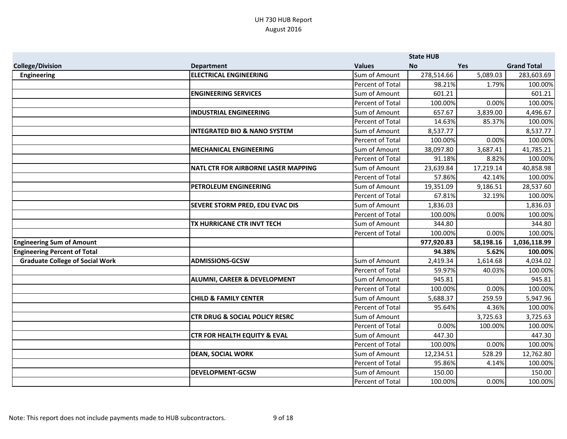|                                        |                                           |                         | <b>State HUB</b> |            |                    |
|----------------------------------------|-------------------------------------------|-------------------------|------------------|------------|--------------------|
| <b>College/Division</b>                | <b>Department</b>                         | <b>Values</b>           | <b>No</b>        | <b>Yes</b> | <b>Grand Total</b> |
| <b>Engineering</b>                     | <b>ELECTRICAL ENGINEERING</b>             | Sum of Amount           | 278,514.66       | 5,089.03   | 283,603.69         |
|                                        |                                           | Percent of Total        | 98.21%           | 1.79%      | 100.00%            |
|                                        | <b>ENGINEERING SERVICES</b>               | Sum of Amount           | 601.21           |            | 601.21             |
|                                        |                                           | Percent of Total        | 100.00%          | 0.00%      | 100.00%            |
|                                        | <b>INDUSTRIAL ENGINEERING</b>             | Sum of Amount           | 657.67           | 3,839.00   | 4,496.67           |
|                                        |                                           | Percent of Total        | 14.63%           | 85.37%     | 100.00%            |
|                                        | <b>INTEGRATED BIO &amp; NANO SYSTEM</b>   | Sum of Amount           | 8,537.77         |            | 8,537.77           |
|                                        |                                           | Percent of Total        | 100.00%          | 0.00%      | 100.00%            |
|                                        | <b>MECHANICAL ENGINEERING</b>             | Sum of Amount           | 38,097.80        | 3,687.41   | 41,785.21          |
|                                        |                                           | Percent of Total        | 91.18%           | 8.82%      | 100.00%            |
|                                        | NATL CTR FOR AIRBORNE LASER MAPPING       | Sum of Amount           | 23,639.84        | 17,219.14  | 40,858.98          |
|                                        |                                           | Percent of Total        | 57.86%           | 42.14%     | 100.00%            |
|                                        | PETROLEUM ENGINEERING                     | Sum of Amount           | 19,351.09        | 9,186.51   | 28,537.60          |
|                                        |                                           | Percent of Total        | 67.81%           | 32.19%     | 100.00%            |
|                                        | <b>SEVERE STORM PRED, EDU EVAC DIS</b>    | Sum of Amount           | 1,836.03         |            | 1,836.03           |
|                                        |                                           | <b>Percent of Total</b> | 100.00%          | 0.00%      | 100.00%            |
|                                        | TX HURRICANE CTR INVT TECH                | Sum of Amount           | 344.80           |            | 344.80             |
|                                        |                                           | Percent of Total        | 100.00%          | 0.00%      | 100.00%            |
| <b>Engineering Sum of Amount</b>       |                                           |                         | 977,920.83       | 58,198.16  | 1,036,118.99       |
| <b>Engineering Percent of Total</b>    |                                           |                         | 94.38%           | 5.62%      | 100.00%            |
| <b>Graduate College of Social Work</b> | <b>ADMISSIONS-GCSW</b>                    | Sum of Amount           | 2,419.34         | 1,614.68   | 4,034.02           |
|                                        |                                           | Percent of Total        | 59.97%           | 40.03%     | 100.00%            |
|                                        | <b>ALUMNI, CAREER &amp; DEVELOPMENT</b>   | Sum of Amount           | 945.81           |            | 945.81             |
|                                        |                                           | Percent of Total        | 100.00%          | 0.00%      | 100.00%            |
|                                        | <b>CHILD &amp; FAMILY CENTER</b>          | Sum of Amount           | 5,688.37         | 259.59     | 5,947.96           |
|                                        |                                           | Percent of Total        | 95.64%           | 4.36%      | 100.00%            |
|                                        | <b>CTR DRUG &amp; SOCIAL POLICY RESRC</b> | Sum of Amount           |                  | 3,725.63   | 3,725.63           |
|                                        |                                           | Percent of Total        | 0.00%            | 100.00%    | 100.00%            |
|                                        | <b>CTR FOR HEALTH EQUITY &amp; EVAL</b>   | Sum of Amount           | 447.30           |            | 447.30             |
|                                        |                                           | Percent of Total        | 100.00%          | 0.00%      | 100.00%            |
|                                        | <b>DEAN, SOCIAL WORK</b>                  | Sum of Amount           | 12,234.51        | 528.29     | 12,762.80          |
|                                        |                                           | Percent of Total        | 95.86%           | 4.14%      | 100.00%            |
|                                        | <b>DEVELOPMENT-GCSW</b>                   | Sum of Amount           | 150.00           |            | 150.00             |
|                                        |                                           | <b>Percent of Total</b> | 100.00%          | 0.00%      | 100.00%            |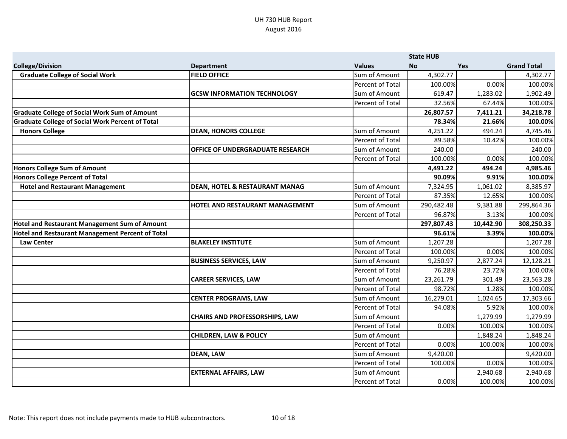|                                                         |                                           |                         | <b>State HUB</b> |            |                    |
|---------------------------------------------------------|-------------------------------------------|-------------------------|------------------|------------|--------------------|
| <b>College/Division</b>                                 | <b>Department</b>                         | <b>Values</b>           | <b>No</b>        | <b>Yes</b> | <b>Grand Total</b> |
| <b>Graduate College of Social Work</b>                  | <b>FIELD OFFICE</b>                       | Sum of Amount           | 4,302.77         |            | 4,302.77           |
|                                                         |                                           | Percent of Total        | 100.00%          | 0.00%      | 100.00%            |
|                                                         | <b>GCSW INFORMATION TECHNOLOGY</b>        | Sum of Amount           | 619.47           | 1,283.02   | 1,902.49           |
|                                                         |                                           | Percent of Total        | 32.56%           | 67.44%     | 100.00%            |
| <b>Graduate College of Social Work Sum of Amount</b>    |                                           |                         | 26,807.57        | 7,411.21   | 34,218.78          |
| <b>Graduate College of Social Work Percent of Total</b> |                                           |                         | 78.34%           | 21.66%     | 100.00%            |
| <b>Honors College</b>                                   | <b>DEAN, HONORS COLLEGE</b>               | Sum of Amount           | 4,251.22         | 494.24     | 4,745.46           |
|                                                         |                                           | <b>Percent of Total</b> | 89.58%           | 10.42%     | 100.00%            |
|                                                         | <b>OFFICE OF UNDERGRADUATE RESEARCH</b>   | Sum of Amount           | 240.00           |            | 240.00             |
|                                                         |                                           | Percent of Total        | 100.00%          | 0.00%      | 100.00%            |
| Honors College Sum of Amount                            |                                           |                         | 4,491.22         | 494.24     | 4,985.46           |
| <b>Honors College Percent of Total</b>                  |                                           |                         | 90.09%           | 9.91%      | 100.00%            |
| <b>Hotel and Restaurant Management</b>                  | <b>DEAN, HOTEL &amp; RESTAURANT MANAG</b> | Sum of Amount           | 7,324.95         | 1,061.02   | 8,385.97           |
|                                                         |                                           | Percent of Total        | 87.35%           | 12.65%     | 100.00%            |
|                                                         | <b>HOTEL AND RESTAURANT MANAGEMENT</b>    | Sum of Amount           | 290,482.48       | 9,381.88   | 299,864.36         |
|                                                         |                                           | Percent of Total        | 96.87%           | 3.13%      | 100.00%            |
| Hotel and Restaurant Management Sum of Amount           |                                           |                         | 297,807.43       | 10,442.90  | 308,250.33         |
| Hotel and Restaurant Management Percent of Total        |                                           |                         | 96.61%           | 3.39%      | 100.00%            |
| <b>Law Center</b>                                       | <b>BLAKELEY INSTITUTE</b>                 | Sum of Amount           | 1,207.28         |            | 1,207.28           |
|                                                         |                                           | Percent of Total        | 100.00%          | 0.00%      | 100.00%            |
|                                                         | <b>BUSINESS SERVICES, LAW</b>             | Sum of Amount           | 9,250.97         | 2,877.24   | 12,128.21          |
|                                                         |                                           | Percent of Total        | 76.28%           | 23.72%     | 100.00%            |
|                                                         | <b>CAREER SERVICES, LAW</b>               | Sum of Amount           | 23,261.79        | 301.49     | 23,563.28          |
|                                                         |                                           | Percent of Total        | 98.72%           | 1.28%      | 100.00%            |
|                                                         | <b>CENTER PROGRAMS, LAW</b>               | Sum of Amount           | 16,279.01        | 1,024.65   | 17,303.66          |
|                                                         |                                           | Percent of Total        | 94.08%           | 5.92%      | 100.00%            |
|                                                         | <b>CHAIRS AND PROFESSORSHIPS, LAW</b>     | Sum of Amount           |                  | 1,279.99   | 1,279.99           |
|                                                         |                                           | Percent of Total        | 0.00%            | 100.00%    | 100.00%            |
|                                                         | <b>CHILDREN, LAW &amp; POLICY</b>         | Sum of Amount           |                  | 1,848.24   | 1,848.24           |
|                                                         |                                           | Percent of Total        | 0.00%            | 100.00%    | 100.00%            |
|                                                         | <b>DEAN, LAW</b>                          | Sum of Amount           | 9,420.00         |            | 9,420.00           |
|                                                         |                                           | Percent of Total        | 100.00%          | 0.00%      | 100.00%            |
|                                                         | <b>EXTERNAL AFFAIRS, LAW</b>              | Sum of Amount           |                  | 2,940.68   | 2,940.68           |
|                                                         |                                           | Percent of Total        | 0.00%            | 100.00%    | 100.00%            |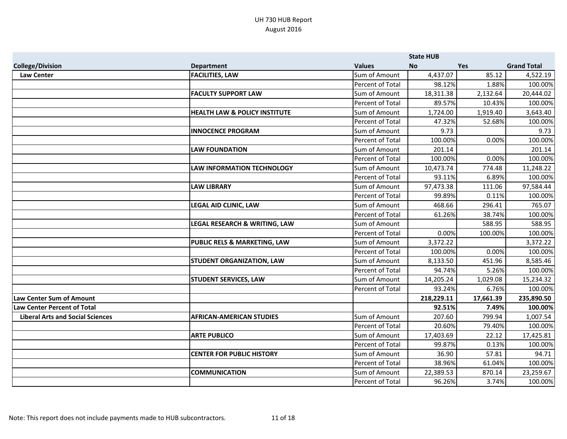|                                         |                                          |                  | <b>State HUB</b> |            |                    |
|-----------------------------------------|------------------------------------------|------------------|------------------|------------|--------------------|
| <b>College/Division</b>                 | <b>Department</b>                        | <b>Values</b>    | <b>No</b>        | <b>Yes</b> | <b>Grand Total</b> |
| <b>Law Center</b>                       | <b>FACILITIES, LAW</b>                   | Sum of Amount    | 4,437.07         | 85.12      | 4,522.19           |
|                                         |                                          | Percent of Total | 98.12%           | 1.88%      | 100.00%            |
|                                         | <b>FACULTY SUPPORT LAW</b>               | Sum of Amount    | 18,311.38        | 2,132.64   | 20,444.02          |
|                                         |                                          | Percent of Total | 89.57%           | 10.43%     | 100.00%            |
|                                         | <b>HEALTH LAW &amp; POLICY INSTITUTE</b> | Sum of Amount    | 1,724.00         | 1,919.40   | 3,643.40           |
|                                         |                                          | Percent of Total | 47.32%           | 52.68%     | 100.00%            |
|                                         | <b>INNOCENCE PROGRAM</b>                 | Sum of Amount    | 9.73             |            | 9.73               |
|                                         |                                          | Percent of Total | 100.00%          | 0.00%      | 100.00%            |
|                                         | <b>LAW FOUNDATION</b>                    | Sum of Amount    | 201.14           |            | 201.14             |
|                                         |                                          | Percent of Total | 100.00%          | 0.00%      | 100.00%            |
|                                         | <b>LAW INFORMATION TECHNOLOGY</b>        | Sum of Amount    | 10,473.74        | 774.48     | 11,248.22          |
|                                         |                                          | Percent of Total | 93.11%           | 6.89%      | 100.00%            |
|                                         | <b>LAW LIBRARY</b>                       | Sum of Amount    | 97,473.38        | 111.06     | 97,584.44          |
|                                         |                                          | Percent of Total | 99.89%           | 0.11%      | 100.00%            |
|                                         | <b>LEGAL AID CLINIC, LAW</b>             | Sum of Amount    | 468.66           | 296.41     | 765.07             |
|                                         |                                          | Percent of Total | 61.26%           | 38.74%     | 100.00%            |
|                                         | LEGAL RESEARCH & WRITING, LAW            | Sum of Amount    |                  | 588.95     | 588.95             |
|                                         |                                          | Percent of Total | 0.00%            | 100.00%    | 100.00%            |
|                                         | <b>PUBLIC RELS &amp; MARKETING, LAW</b>  | Sum of Amount    | 3,372.22         |            | 3,372.22           |
|                                         |                                          | Percent of Total | 100.00%          | 0.00%      | 100.00%            |
|                                         | <b>STUDENT ORGANIZATION, LAW</b>         | Sum of Amount    | 8,133.50         | 451.96     | 8,585.46           |
|                                         |                                          | Percent of Total | 94.74%           | 5.26%      | 100.00%            |
|                                         | <b>STUDENT SERVICES, LAW</b>             | Sum of Amount    | 14,205.24        | 1,029.08   | 15,234.32          |
|                                         |                                          | Percent of Total | 93.24%           | 6.76%      | 100.00%            |
| <b>Law Center Sum of Amount</b>         |                                          |                  | 218,229.11       | 17,661.39  | 235,890.50         |
| <b>Law Center Percent of Total</b>      |                                          |                  | 92.51%           | 7.49%      | 100.00%            |
| <b>Liberal Arts and Social Sciences</b> | <b>AFRICAN-AMERICAN STUDIES</b>          | Sum of Amount    | 207.60           | 799.94     | 1,007.54           |
|                                         |                                          | Percent of Total | 20.60%           | 79.40%     | 100.00%            |
|                                         | <b>ARTE PUBLICO</b>                      | Sum of Amount    | 17,403.69        | 22.12      | 17,425.81          |
|                                         |                                          | Percent of Total | 99.87%           | 0.13%      | 100.00%            |
|                                         | <b>CENTER FOR PUBLIC HISTORY</b>         | Sum of Amount    | 36.90            | 57.81      | 94.71              |
|                                         |                                          | Percent of Total | 38.96%           | 61.04%     | 100.00%            |
|                                         | <b>COMMUNICATION</b>                     | Sum of Amount    | 22,389.53        | 870.14     | 23,259.67          |
|                                         |                                          | Percent of Total | 96.26%           | 3.74%      | 100.00%            |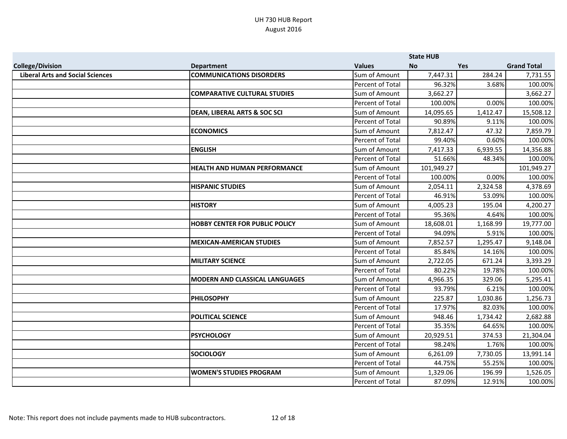|                                         |                                         |                         | <b>State HUB</b> |            |                    |
|-----------------------------------------|-----------------------------------------|-------------------------|------------------|------------|--------------------|
| <b>College/Division</b>                 | <b>Department</b>                       | <b>Values</b>           | <b>No</b>        | <b>Yes</b> | <b>Grand Total</b> |
| <b>Liberal Arts and Social Sciences</b> | <b>COMMUNICATIONS DISORDERS</b>         | Sum of Amount           | 7,447.31         | 284.24     | 7,731.55           |
|                                         |                                         | Percent of Total        | 96.32%           | 3.68%      | 100.00%            |
|                                         | <b>COMPARATIVE CULTURAL STUDIES</b>     | Sum of Amount           | 3,662.27         |            | 3,662.27           |
|                                         |                                         | Percent of Total        | 100.00%          | 0.00%      | 100.00%            |
|                                         | <b>DEAN, LIBERAL ARTS &amp; SOC SCI</b> | Sum of Amount           | 14,095.65        | 1,412.47   | 15,508.12          |
|                                         |                                         | Percent of Total        | 90.89%           | 9.11%      | 100.00%            |
|                                         | <b>ECONOMICS</b>                        | Sum of Amount           | 7,812.47         | 47.32      | 7,859.79           |
|                                         |                                         | Percent of Total        | 99.40%           | 0.60%      | 100.00%            |
|                                         | <b>ENGLISH</b>                          | Sum of Amount           | 7,417.33         | 6,939.55   | 14,356.88          |
|                                         |                                         | Percent of Total        | 51.66%           | 48.34%     | 100.00%            |
|                                         | <b>HEALTH AND HUMAN PERFORMANCE</b>     | Sum of Amount           | 101,949.27       |            | 101,949.27         |
|                                         |                                         | Percent of Total        | 100.00%          | 0.00%      | 100.00%            |
|                                         | <b>HISPANIC STUDIES</b>                 | Sum of Amount           | 2,054.11         | 2,324.58   | 4,378.69           |
|                                         |                                         | Percent of Total        | 46.91%           | 53.09%     | 100.00%            |
|                                         | <b>HISTORY</b>                          | Sum of Amount           | 4,005.23         | 195.04     | 4,200.27           |
|                                         |                                         | Percent of Total        | 95.36%           | 4.64%      | 100.00%            |
|                                         | <b>HOBBY CENTER FOR PUBLIC POLICY</b>   | Sum of Amount           | 18,608.01        | 1,168.99   | 19,777.00          |
|                                         |                                         | Percent of Total        | 94.09%           | 5.91%      | 100.00%            |
|                                         | <b>MEXICAN-AMERICAN STUDIES</b>         | Sum of Amount           | 7,852.57         | 1,295.47   | 9,148.04           |
|                                         |                                         | Percent of Total        | 85.84%           | 14.16%     | 100.00%            |
|                                         | <b>MILITARY SCIENCE</b>                 | Sum of Amount           | 2,722.05         | 671.24     | 3,393.29           |
|                                         |                                         | Percent of Total        | 80.22%           | 19.78%     | 100.00%            |
|                                         | <b>MODERN AND CLASSICAL LANGUAGES</b>   | Sum of Amount           | 4,966.35         | 329.06     | 5,295.41           |
|                                         |                                         | Percent of Total        | 93.79%           | 6.21%      | 100.00%            |
|                                         | <b>PHILOSOPHY</b>                       | Sum of Amount           | 225.87           | 1,030.86   | 1,256.73           |
|                                         |                                         | Percent of Total        | 17.97%           | 82.03%     | 100.00%            |
|                                         | <b>POLITICAL SCIENCE</b>                | Sum of Amount           | 948.46           | 1,734.42   | 2,682.88           |
|                                         |                                         | <b>Percent of Total</b> | 35.35%           | 64.65%     | 100.00%            |
|                                         | <b>PSYCHOLOGY</b>                       | Sum of Amount           | 20,929.51        | 374.53     | 21,304.04          |
|                                         |                                         | Percent of Total        | 98.24%           | 1.76%      | 100.00%            |
|                                         | <b>SOCIOLOGY</b>                        | Sum of Amount           | 6,261.09         | 7,730.05   | 13,991.14          |
|                                         |                                         | Percent of Total        | 44.75%           | 55.25%     | 100.00%            |
|                                         | <b>WOMEN'S STUDIES PROGRAM</b>          | Sum of Amount           | 1,329.06         | 196.99     | 1,526.05           |
|                                         |                                         | Percent of Total        | 87.09%           | 12.91%     | 100.00%            |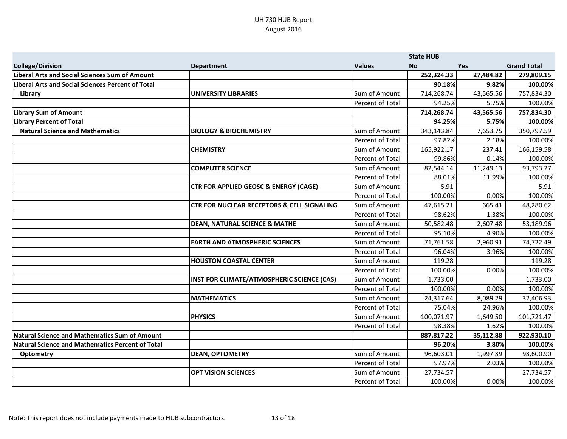|                                                         |                                                       |                  | <b>State HUB</b> |            |                    |
|---------------------------------------------------------|-------------------------------------------------------|------------------|------------------|------------|--------------------|
| <b>College/Division</b>                                 | <b>Department</b>                                     | <b>Values</b>    | <b>No</b>        | <b>Yes</b> | <b>Grand Total</b> |
| Liberal Arts and Social Sciences Sum of Amount          |                                                       |                  | 252,324.33       | 27,484.82  | 279,809.15         |
| Liberal Arts and Social Sciences Percent of Total       |                                                       |                  | 90.18%           | 9.82%      | 100.00%            |
| Library                                                 | <b>UNIVERSITY LIBRARIES</b>                           | Sum of Amount    | 714,268.74       | 43,565.56  | 757,834.30         |
|                                                         |                                                       | Percent of Total | 94.25%           | 5.75%      | 100.00%            |
| <b>Library Sum of Amount</b>                            |                                                       |                  | 714,268.74       | 43,565.56  | 757,834.30         |
| <b>Library Percent of Total</b>                         |                                                       |                  | 94.25%           | 5.75%      | 100.00%            |
| <b>Natural Science and Mathematics</b>                  | <b>BIOLOGY &amp; BIOCHEMISTRY</b>                     | Sum of Amount    | 343,143.84       | 7,653.75   | 350,797.59         |
|                                                         |                                                       | Percent of Total | 97.82%           | 2.18%      | 100.00%            |
|                                                         | <b>CHEMISTRY</b>                                      | Sum of Amount    | 165,922.17       | 237.41     | 166,159.58         |
|                                                         |                                                       | Percent of Total | 99.86%           | 0.14%      | 100.00%            |
|                                                         | <b>COMPUTER SCIENCE</b>                               | Sum of Amount    | 82,544.14        | 11,249.13  | 93,793.27          |
|                                                         |                                                       | Percent of Total | 88.01%           | 11.99%     | 100.00%            |
|                                                         | <b>CTR FOR APPLIED GEOSC &amp; ENERGY (CAGE)</b>      | Sum of Amount    | 5.91             |            | 5.91               |
|                                                         |                                                       | Percent of Total | 100.00%          | 0.00%      | 100.00%            |
|                                                         | <b>CTR FOR NUCLEAR RECEPTORS &amp; CELL SIGNALING</b> | Sum of Amount    | 47,615.21        | 665.41     | 48,280.62          |
|                                                         |                                                       | Percent of Total | 98.62%           | 1.38%      | 100.00%            |
|                                                         | <b>DEAN, NATURAL SCIENCE &amp; MATHE</b>              | Sum of Amount    | 50,582.48        | 2,607.48   | 53,189.96          |
|                                                         |                                                       | Percent of Total | 95.10%           | 4.90%      | 100.00%            |
|                                                         | <b>EARTH AND ATMOSPHERIC SCIENCES</b>                 | Sum of Amount    | 71,761.58        | 2,960.91   | 74,722.49          |
|                                                         |                                                       | Percent of Total | 96.04%           | 3.96%      | 100.00%            |
|                                                         | <b>HOUSTON COASTAL CENTER</b>                         | Sum of Amount    | 119.28           |            | 119.28             |
|                                                         |                                                       | Percent of Total | 100.00%          | 0.00%      | 100.00%            |
|                                                         | INST FOR CLIMATE/ATMOSPHERIC SCIENCE (CAS)            | Sum of Amount    | 1,733.00         |            | 1,733.00           |
|                                                         |                                                       | Percent of Total | 100.00%          | 0.00%      | 100.00%            |
|                                                         | <b>MATHEMATICS</b>                                    | Sum of Amount    | 24,317.64        | 8,089.29   | 32,406.93          |
|                                                         |                                                       | Percent of Total | 75.04%           | 24.96%     | 100.00%            |
|                                                         | <b>PHYSICS</b>                                        | Sum of Amount    | 100,071.97       | 1,649.50   | 101,721.47         |
|                                                         |                                                       | Percent of Total | 98.38%           | 1.62%      | 100.00%            |
| Natural Science and Mathematics Sum of Amount           |                                                       |                  | 887,817.22       | 35,112.88  | 922,930.10         |
| <b>Natural Science and Mathematics Percent of Total</b> |                                                       |                  | 96.20%           | 3.80%      | 100.00%            |
| Optometry                                               | <b>DEAN, OPTOMETRY</b>                                | Sum of Amount    | 96,603.01        | 1,997.89   | 98,600.90          |
|                                                         |                                                       | Percent of Total | 97.97%           | 2.03%      | 100.00%            |
|                                                         | <b>OPT VISION SCIENCES</b>                            | Sum of Amount    | 27,734.57        |            | 27,734.57          |
|                                                         |                                                       | Percent of Total | 100.00%          | 0.00%      | 100.00%            |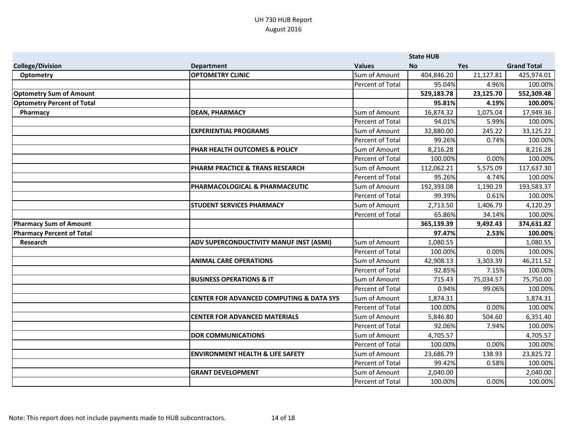|                                   |                                                     |                         | <b>State HUB</b> |           |                    |
|-----------------------------------|-----------------------------------------------------|-------------------------|------------------|-----------|--------------------|
| <b>College/Division</b>           | <b>Department</b>                                   | <b>Values</b>           | <b>No</b>        | Yes       | <b>Grand Total</b> |
| <b>Optometry</b>                  | <b>OPTOMETRY CLINIC</b>                             | Sum of Amount           | 404,846.20       | 21,127.81 | 425,974.01         |
|                                   |                                                     | Percent of Total        | 95.04%           | 4.96%     | 100.00%            |
| <b>Optometry Sum of Amount</b>    |                                                     |                         | 529,183.78       | 23,125.70 | 552,309.48         |
| <b>Optometry Percent of Total</b> |                                                     |                         | 95.81%           | 4.19%     | 100.00%            |
| Pharmacy                          | <b>DEAN, PHARMACY</b>                               | Sum of Amount           | 16,874.32        | 1,075.04  | 17,949.36          |
|                                   |                                                     | Percent of Total        | 94.01%           | 5.99%     | 100.00%            |
|                                   | <b>EXPERIENTIAL PROGRAMS</b>                        | Sum of Amount           | 32,880.00        | 245.22    | 33,125.22          |
|                                   |                                                     | Percent of Total        | 99.26%           | 0.74%     | 100.00%            |
|                                   | PHAR HEALTH OUTCOMES & POLICY                       | Sum of Amount           | 8,216.28         |           | 8,216.28           |
|                                   |                                                     | Percent of Total        | 100.00%          | 0.00%     | 100.00%            |
|                                   | PHARM PRACTICE & TRANS RESEARCH                     | Sum of Amount           | 112,062.21       | 5,575.09  | 117,637.30         |
|                                   |                                                     | Percent of Total        | 95.26%           | 4.74%     | 100.00%            |
|                                   | PHARMACOLOGICAL & PHARMACEUTIC                      | Sum of Amount           | 192,393.08       | 1,190.29  | 193,583.37         |
|                                   |                                                     | Percent of Total        | 99.39%           | 0.61%     | 100.00%            |
|                                   | <b>STUDENT SERVICES PHARMACY</b>                    | Sum of Amount           | 2,713.50         | 1,406.79  | 4,120.29           |
|                                   |                                                     | Percent of Total        | 65.86%           | 34.14%    | 100.00%            |
| <b>Pharmacy Sum of Amount</b>     |                                                     |                         | 365,139.39       | 9,492.43  | 374,631.82         |
| <b>Pharmacy Percent of Total</b>  |                                                     |                         | 97.47%           | 2.53%     | 100.00%            |
| Research                          | <b>ADV SUPERCONDUCTIVITY MANUF INST (ASMI)</b>      | Sum of Amount           | 1,080.55         |           | 1,080.55           |
|                                   |                                                     | Percent of Total        | 100.00%          | 0.00%     | 100.00%            |
|                                   | <b>ANIMAL CARE OPERATIONS</b>                       | Sum of Amount           | 42,908.13        | 3,303.39  | 46,211.52          |
|                                   |                                                     | Percent of Total        | 92.85%           | 7.15%     | 100.00%            |
|                                   | <b>BUSINESS OPERATIONS &amp; IT</b>                 | Sum of Amount           | 715.43           | 75,034.57 | 75,750.00          |
|                                   |                                                     | Percent of Total        | 0.94%            | 99.06%    | 100.00%            |
|                                   | <b>CENTER FOR ADVANCED COMPUTING &amp; DATA SYS</b> | Sum of Amount           | 1,874.31         |           | 1,874.31           |
|                                   |                                                     | Percent of Total        | 100.00%          | 0.00%     | 100.00%            |
|                                   | <b>CENTER FOR ADVANCED MATERIALS</b>                | Sum of Amount           | 5,846.80         | 504.60    | 6,351.40           |
|                                   |                                                     | <b>Percent of Total</b> | 92.06%           | 7.94%     | 100.00%            |
|                                   | <b>DOR COMMUNICATIONS</b>                           | Sum of Amount           | 4,705.57         |           | 4,705.57           |
|                                   |                                                     | Percent of Total        | 100.00%          | 0.00%     | 100.00%            |
|                                   | <b>ENVIRONMENT HEALTH &amp; LIFE SAFETY</b>         | Sum of Amount           | 23,686.79        | 138.93    | 23,825.72          |
|                                   |                                                     | Percent of Total        | 99.42%           | 0.58%     | 100.00%            |
|                                   | <b>GRANT DEVELOPMENT</b>                            | Sum of Amount           | 2,040.00         |           | 2,040.00           |
|                                   |                                                     | Percent of Total        | 100.00%          | 0.00%     | 100.00%            |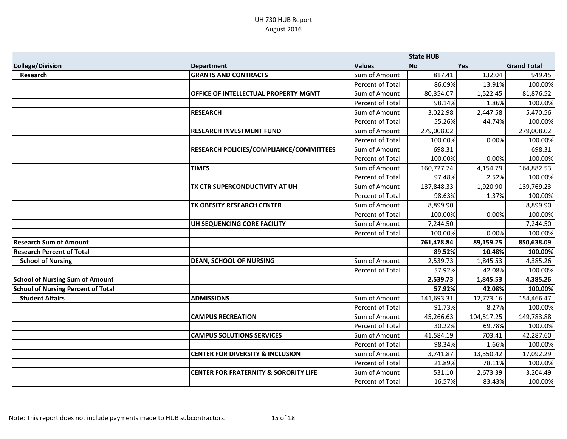|                                           |                                                  |                         | <b>State HUB</b> |            |                    |
|-------------------------------------------|--------------------------------------------------|-------------------------|------------------|------------|--------------------|
| <b>College/Division</b>                   | <b>Department</b>                                | <b>Values</b>           | <b>No</b>        | <b>Yes</b> | <b>Grand Total</b> |
| Research                                  | <b>GRANTS AND CONTRACTS</b>                      | Sum of Amount           | 817.41           | 132.04     | 949.45             |
|                                           |                                                  | Percent of Total        | 86.09%           | 13.91%     | 100.00%            |
|                                           | OFFICE OF INTELLECTUAL PROPERTY MGMT             | Sum of Amount           | 80,354.07        | 1,522.45   | 81,876.52          |
|                                           |                                                  | Percent of Total        | 98.14%           | 1.86%      | 100.00%            |
|                                           | <b>RESEARCH</b>                                  | Sum of Amount           | 3,022.98         | 2,447.58   | 5,470.56           |
|                                           |                                                  | Percent of Total        | 55.26%           | 44.74%     | 100.00%            |
|                                           | <b>RESEARCH INVESTMENT FUND</b>                  | Sum of Amount           | 279,008.02       |            | 279,008.02         |
|                                           |                                                  | Percent of Total        | 100.00%          | 0.00%      | 100.00%            |
|                                           | RESEARCH POLICIES/COMPLIANCE/COMMITTEES          | Sum of Amount           | 698.31           |            | 698.31             |
|                                           |                                                  | Percent of Total        | 100.00%          | 0.00%      | 100.00%            |
|                                           | <b>TIMES</b>                                     | Sum of Amount           | 160,727.74       | 4,154.79   | 164,882.53         |
|                                           |                                                  | <b>Percent of Total</b> | 97.48%           | 2.52%      | 100.00%            |
|                                           | TX CTR SUPERCONDUCTIVITY AT UH                   | Sum of Amount           | 137,848.33       | 1,920.90   | 139,769.23         |
|                                           |                                                  | Percent of Total        | 98.63%           | 1.37%      | 100.00%            |
|                                           | TX OBESITY RESEARCH CENTER                       | Sum of Amount           | 8,899.90         |            | 8,899.90           |
|                                           |                                                  | Percent of Total        | 100.00%          | 0.00%      | 100.00%            |
|                                           | UH SEQUENCING CORE FACILITY                      | Sum of Amount           | 7,244.50         |            | 7,244.50           |
|                                           |                                                  | Percent of Total        | 100.00%          | 0.00%      | 100.00%            |
| <b>Research Sum of Amount</b>             |                                                  |                         | 761,478.84       | 89,159.25  | 850,638.09         |
| <b>Research Percent of Total</b>          |                                                  |                         | 89.52%           | 10.48%     | 100.00%            |
| <b>School of Nursing</b>                  | <b>DEAN, SCHOOL OF NURSING</b>                   | Sum of Amount           | 2,539.73         | 1,845.53   | 4,385.26           |
|                                           |                                                  | <b>Percent of Total</b> | 57.92%           | 42.08%     | 100.00%            |
| <b>School of Nursing Sum of Amount</b>    |                                                  |                         | 2,539.73         | 1,845.53   | 4,385.26           |
| <b>School of Nursing Percent of Total</b> |                                                  |                         | 57.92%           | 42.08%     | 100.00%            |
| <b>Student Affairs</b>                    | <b>ADMISSIONS</b>                                | Sum of Amount           | 141,693.31       | 12,773.16  | 154,466.47         |
|                                           |                                                  | Percent of Total        | 91.73%           | 8.27%      | 100.00%            |
|                                           | <b>CAMPUS RECREATION</b>                         | Sum of Amount           | 45,266.63        | 104,517.25 | 149,783.88         |
|                                           |                                                  | Percent of Total        | 30.22%           | 69.78%     | 100.00%            |
|                                           | <b>CAMPUS SOLUTIONS SERVICES</b>                 | Sum of Amount           | 41,584.19        | 703.41     | 42,287.60          |
|                                           |                                                  | <b>Percent of Total</b> | 98.34%           | 1.66%      | 100.00%            |
|                                           | <b>CENTER FOR DIVERSITY &amp; INCLUSION</b>      | Sum of Amount           | 3,741.87         | 13,350.42  | 17,092.29          |
|                                           |                                                  | Percent of Total        | 21.89%           | 78.11%     | 100.00%            |
|                                           | <b>CENTER FOR FRATERNITY &amp; SORORITY LIFE</b> | Sum of Amount           | 531.10           | 2,673.39   | 3,204.49           |
|                                           |                                                  | Percent of Total        | 16.57%           | 83.43%     | 100.00%            |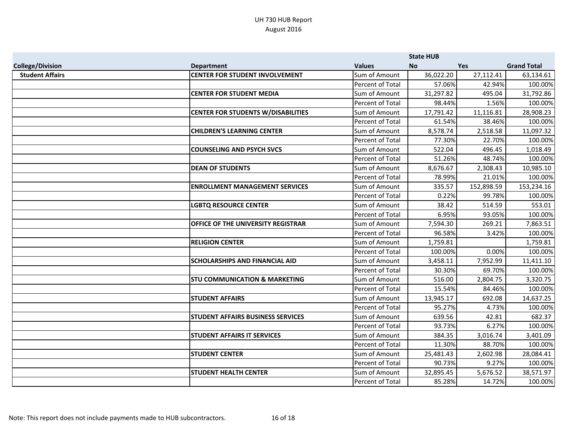|                         |                                           |                         | <b>State HUB</b> |            |                    |
|-------------------------|-------------------------------------------|-------------------------|------------------|------------|--------------------|
| <b>College/Division</b> | <b>Department</b>                         | <b>Values</b>           | No.              | <b>Yes</b> | <b>Grand Total</b> |
| <b>Student Affairs</b>  | <b>CENTER FOR STUDENT INVOLVEMENT</b>     | Sum of Amount           | 36,022.20        | 27,112.41  | 63,134.61          |
|                         |                                           | Percent of Total        | 57.06%           | 42.94%     | 100.00%            |
|                         | <b>CENTER FOR STUDENT MEDIA</b>           | Sum of Amount           | 31,297.82        | 495.04     | 31,792.86          |
|                         |                                           | Percent of Total        | 98.44%           | 1.56%      | 100.00%            |
|                         | <b>CENTER FOR STUDENTS W/DISABILITIES</b> | Sum of Amount           | 17,791.42        | 11,116.81  | 28,908.23          |
|                         |                                           | Percent of Total        | 61.54%           | 38.46%     | 100.00%            |
|                         | <b>CHILDREN'S LEARNING CENTER</b>         | Sum of Amount           | 8,578.74         | 2,518.58   | 11,097.32          |
|                         |                                           | Percent of Total        | 77.30%           | 22.70%     | 100.00%            |
|                         | <b>COUNSELING AND PSYCH SVCS</b>          | Sum of Amount           | 522.04           | 496.45     | 1,018.49           |
|                         |                                           | Percent of Total        | 51.26%           | 48.74%     | 100.00%            |
|                         | <b>DEAN OF STUDENTS</b>                   | Sum of Amount           | 8,676.67         | 2,308.43   | 10,985.10          |
|                         |                                           | Percent of Total        | 78.99%           | 21.01%     | 100.00%            |
|                         | <b>ENROLLMENT MANAGEMENT SERVICES</b>     | Sum of Amount           | 335.57           | 152,898.59 | 153,234.16         |
|                         |                                           | Percent of Total        | 0.22%            | 99.78%     | 100.00%            |
|                         | <b>LGBTQ RESOURCE CENTER</b>              | Sum of Amount           | 38.42            | 514.59     | 553.01             |
|                         |                                           | Percent of Total        | 6.95%            | 93.05%     | 100.00%            |
|                         | OFFICE OF THE UNIVERSITY REGISTRAR        | Sum of Amount           | 7,594.30         | 269.21     | 7,863.51           |
|                         |                                           | Percent of Total        | 96.58%           | 3.42%      | 100.00%            |
|                         | <b>RELIGION CENTER</b>                    | Sum of Amount           | 1,759.81         |            | 1,759.81           |
|                         |                                           | Percent of Total        | 100.00%          | 0.00%      | 100.00%            |
|                         | <b>SCHOLARSHIPS AND FINANCIAL AID</b>     | Sum of Amount           | 3,458.11         | 7,952.99   | 11,411.10          |
|                         |                                           | Percent of Total        | 30.30%           | 69.70%     | 100.00%            |
|                         | <b>STU COMMUNICATION &amp; MARKETING</b>  | Sum of Amount           | 516.00           | 2,804.75   | 3,320.75           |
|                         |                                           | Percent of Total        | 15.54%           | 84.46%     | 100.00%            |
|                         | <b>STUDENT AFFAIRS</b>                    | Sum of Amount           | 13,945.17        | 692.08     | 14,637.25          |
|                         |                                           | Percent of Total        | 95.27%           | 4.73%      | 100.00%            |
|                         | <b>STUDENT AFFAIRS BUSINESS SERVICES</b>  | Sum of Amount           | 639.56           | 42.81      | 682.37             |
|                         |                                           | <b>Percent of Total</b> | 93.73%           | 6.27%      | 100.00%            |
|                         | <b>STUDENT AFFAIRS IT SERVICES</b>        | Sum of Amount           | 384.35           | 3,016.74   | 3,401.09           |
|                         |                                           | Percent of Total        | 11.30%           | 88.70%     | 100.00%            |
|                         | <b>STUDENT CENTER</b>                     | Sum of Amount           | 25,481.43        | 2,602.98   | 28,084.41          |
|                         |                                           | Percent of Total        | 90.73%           | 9.27%      | 100.00%            |
|                         | <b>STUDENT HEALTH CENTER</b>              | Sum of Amount           | 32,895.45        | 5,676.52   | 38,571.97          |
|                         |                                           | Percent of Total        | 85.28%           | 14.72%     | 100.00%            |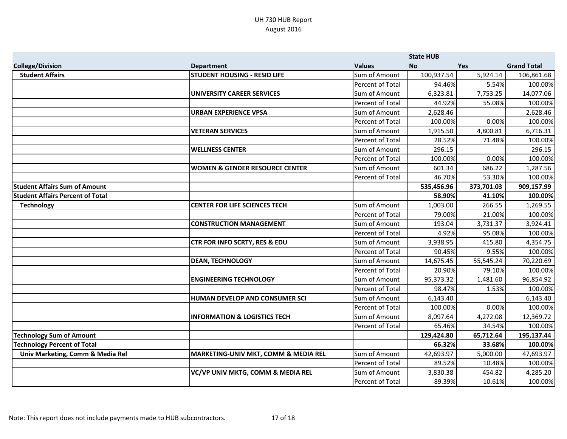|                                         |                                           |                  | <b>State HUB</b> |            |                    |
|-----------------------------------------|-------------------------------------------|------------------|------------------|------------|--------------------|
| <b>College/Division</b>                 | <b>Department</b>                         | <b>Values</b>    | <b>No</b>        | <b>Yes</b> | <b>Grand Total</b> |
| <b>Student Affairs</b>                  | <b>STUDENT HOUSING - RESID LIFE</b>       | Sum of Amount    | 100,937.54       | 5,924.14   | 106,861.68         |
|                                         |                                           | Percent of Total | 94.46%           | 5.54%      | 100.00%            |
|                                         | <b>UNIVERSITY CAREER SERVICES</b>         | Sum of Amount    | 6,323.81         | 7,753.25   | 14,077.06          |
|                                         |                                           | Percent of Total | 44.92%           | 55.08%     | 100.00%            |
|                                         | <b>URBAN EXPERIENCE VPSA</b>              | Sum of Amount    | 2,628.46         |            | 2,628.46           |
|                                         |                                           | Percent of Total | 100.00%          | 0.00%      | 100.00%            |
|                                         | <b>VETERAN SERVICES</b>                   | Sum of Amount    | 1,915.50         | 4,800.81   | 6,716.31           |
|                                         |                                           | Percent of Total | 28.52%           | 71.48%     | 100.00%            |
|                                         | <b>WELLNESS CENTER</b>                    | Sum of Amount    | 296.15           |            | 296.15             |
|                                         |                                           | Percent of Total | 100.00%          | 0.00%      | 100.00%            |
|                                         | <b>WOMEN &amp; GENDER RESOURCE CENTER</b> | Sum of Amount    | 601.34           | 686.22     | 1,287.56           |
|                                         |                                           | Percent of Total | 46.70%           | 53.30%     | 100.00%            |
| <b>Student Affairs Sum of Amount</b>    |                                           |                  | 535,456.96       | 373,701.03 | 909,157.99         |
| <b>Student Affairs Percent of Total</b> |                                           |                  | 58.90%           | 41.10%     | 100.00%            |
| <b>Technology</b>                       | <b>CENTER FOR LIFE SCIENCES TECH</b>      | Sum of Amount    | 1,003.00         | 266.55     | 1,269.55           |
|                                         |                                           | Percent of Total | 79.00%           | 21.00%     | 100.00%            |
|                                         | <b>CONSTRUCTION MANAGEMENT</b>            | Sum of Amount    | 193.04           | 3,731.37   | 3,924.41           |
|                                         |                                           | Percent of Total | 4.92%            | 95.08%     | 100.00%            |
|                                         | <b>CTR FOR INFO SCRTY, RES &amp; EDU</b>  | Sum of Amount    | 3,938.95         | 415.80     | 4,354.75           |
|                                         |                                           | Percent of Total | 90.45%           | 9.55%      | 100.00%            |
|                                         | <b>DEAN, TECHNOLOGY</b>                   | Sum of Amount    | 14,675.45        | 55,545.24  | 70,220.69          |
|                                         |                                           | Percent of Total | 20.90%           | 79.10%     | 100.00%            |
|                                         | <b>ENGINEERING TECHNOLOGY</b>             | Sum of Amount    | 95,373.32        | 1,481.60   | 96,854.92          |
|                                         |                                           | Percent of Total | 98.47%           | 1.53%      | 100.00%            |
|                                         | HUMAN DEVELOP AND CONSUMER SCI            | Sum of Amount    | 6,143.40         |            | 6,143.40           |
|                                         |                                           | Percent of Total | 100.00%          | 0.00%      | 100.00%            |
|                                         | <b>INFORMATION &amp; LOGISTICS TECH</b>   | Sum of Amount    | 8,097.64         | 4,272.08   | 12,369.72          |
|                                         |                                           | Percent of Total | 65.46%           | 34.54%     | 100.00%            |
| <b>Technology Sum of Amount</b>         |                                           |                  | 129,424.80       | 65,712.64  | 195,137.44         |
| <b>Technology Percent of Total</b>      |                                           |                  | 66.32%           | 33.68%     | 100.00%            |
| Univ Marketing, Comm & Media Rel        | MARKETING-UNIV MKT, COMM & MEDIA REL      | Sum of Amount    | 42,693.97        | 5,000.00   | 47,693.97          |
|                                         |                                           | Percent of Total | 89.52%           | 10.48%     | 100.00%            |
|                                         | VC/VP UNIV MKTG, COMM & MEDIA REL         | Sum of Amount    | 3,830.38         | 454.82     | 4,285.20           |
|                                         |                                           | Percent of Total | 89.39%           | 10.61%     | 100.00%            |